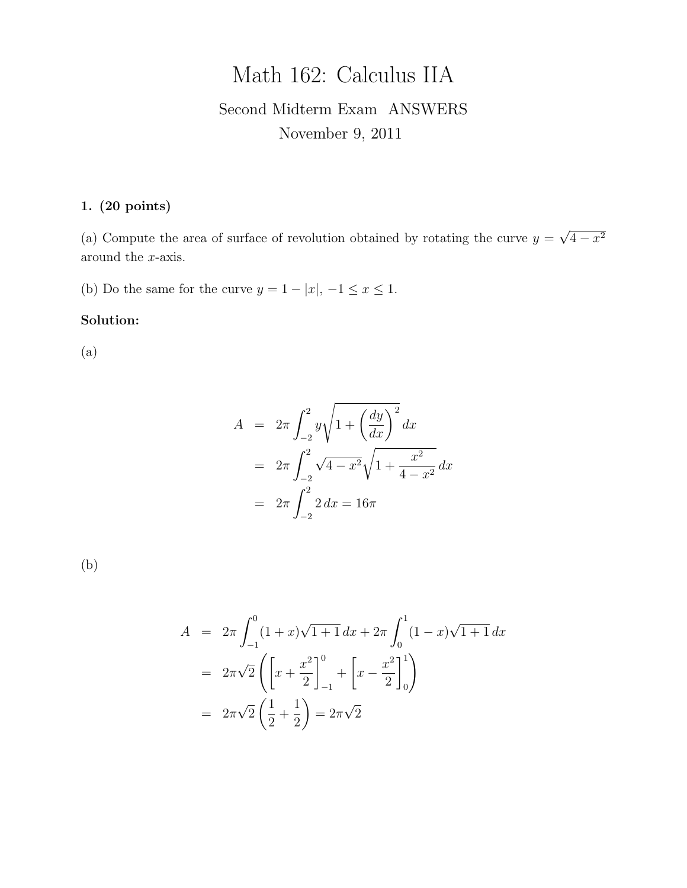# Math 162: Calculus IIA

## Second Midterm Exam ANSWERS November 9, 2011

### 1. (20 points)

(a) Compute the area of surface of revolution obtained by rotating the curve  $y =$ √  $4 - x^2$ around the x-axis.

(b) Do the same for the curve  $y = 1 - |x|, -1 \le x \le 1$ .

#### Solution:

(a)

$$
A = 2\pi \int_{-2}^{2} y \sqrt{1 + \left(\frac{dy}{dx}\right)^2} dx
$$
  
=  $2\pi \int_{-2}^{2} \sqrt{4 - x^2} \sqrt{1 + \frac{x^2}{4 - x^2}} dx$   
=  $2\pi \int_{-2}^{2} 2 dx = 16\pi$ 

(b)

$$
A = 2\pi \int_{-1}^{0} (1+x)\sqrt{1+1} \, dx + 2\pi \int_{0}^{1} (1-x)\sqrt{1+1} \, dx
$$
  
=  $2\pi \sqrt{2} \left( \left[ x + \frac{x^2}{2} \right]_{-1}^{0} + \left[ x - \frac{x^2}{2} \right]_{0}^{1} \right)$   
=  $2\pi \sqrt{2} \left( \frac{1}{2} + \frac{1}{2} \right) = 2\pi \sqrt{2}$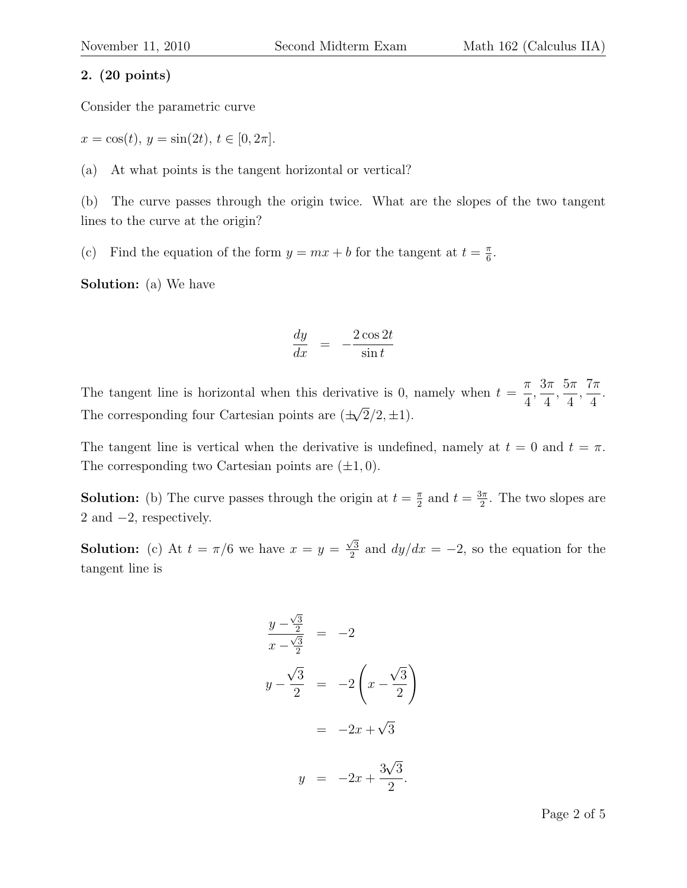#### 2. (20 points)

Consider the parametric curve

 $x = \cos(t), y = \sin(2t), t \in [0, 2\pi].$ 

(a) At what points is the tangent horizontal or vertical?

(b) The curve passes through the origin twice. What are the slopes of the two tangent lines to the curve at the origin?

(c) Find the equation of the form  $y = mx + b$  for the tangent at  $t = \frac{\pi}{6}$  $\frac{\pi}{6}$ .

Solution: (a) We have

$$
\frac{dy}{dx} = -\frac{2\cos 2t}{\sin t}
$$

The tangent line is horizontal when this derivative is 0, namely when  $t =$ π 4 ,  $3\pi$ 4 ,  $5\pi$ 4 ,  $7\pi$ 4 . The corresponding four Cartesian points are  $(\pm \sqrt{2}/2, \pm 1)$ . √

The tangent line is vertical when the derivative is undefined, namely at  $t = 0$  and  $t = \pi$ . The corresponding two Cartesian points are  $(\pm 1, 0)$ .

**Solution:** (b) The curve passes through the origin at  $t = \frac{\pi}{2}$  $\frac{\pi}{2}$  and  $t = \frac{3\pi}{2}$  $\frac{3\pi}{2}$ . The two slopes are 2 and −2, respectively.

**Solution:** (c) At  $t = \pi/6$  we have  $x = y =$  $\sqrt{3}$  $\frac{\sqrt{3}}{2}$  and  $dy/dx = -2$ , so the equation for the tangent line is

$$
\frac{y - \frac{\sqrt{3}}{2}}{x - \frac{\sqrt{3}}{2}} = -2
$$
  

$$
y - \frac{\sqrt{3}}{2} = -2\left(x - \frac{\sqrt{3}}{2}\right)
$$
  

$$
= -2x + \sqrt{3}
$$
  

$$
y = -2x + \frac{3\sqrt{3}}{2}.
$$

Page 2 of 5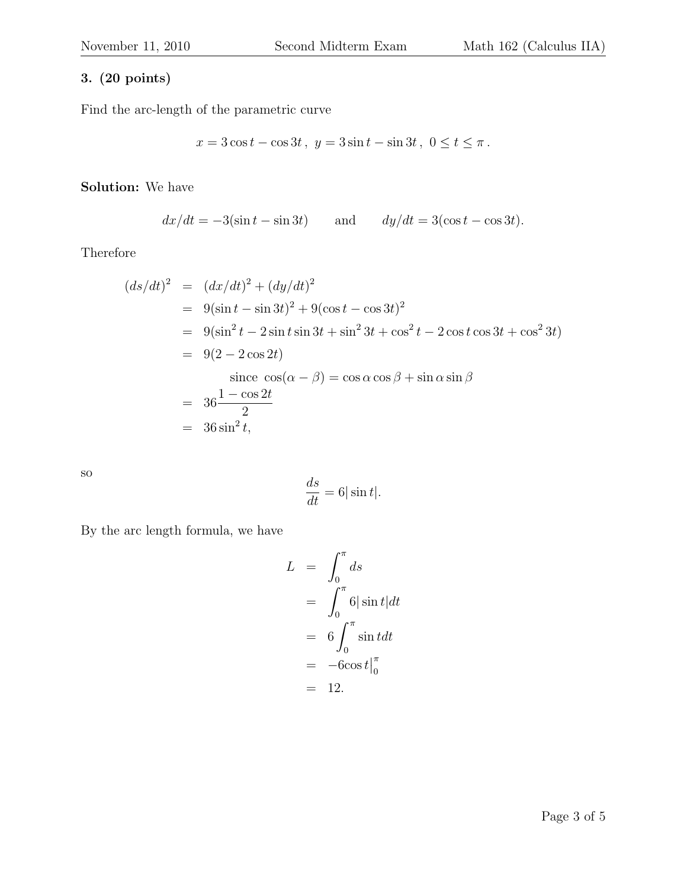## 3. (20 points)

Find the arc-length of the parametric curve

$$
x = 3\cos t - \cos 3t
$$
,  $y = 3\sin t - \sin 3t$ ,  $0 \le t \le \pi$ .

Solution: We have

$$
dx/dt = -3(\sin t - \sin 3t)
$$
 and  $dy/dt = 3(\cos t - \cos 3t)$ .

Therefore

$$
(ds/dt)^2 = (dx/dt)^2 + (dy/dt)^2
$$
  
= 9(sin t - sin 3t)<sup>2</sup> + 9(cos t - cos 3t)<sup>2</sup>  
= 9(sin<sup>2</sup> t - 2 sin t sin 3t + sin<sup>2</sup> 3t + cos<sup>2</sup> t - 2 cos t cos 3t + cos<sup>2</sup> 3t)  
= 9(2 - 2 cos 2t)  
since cos(α – β) = cos α cos β + sin α sin β  
= 36<sup>1</sup>/<sub>2</sub> = 36 sin<sup>2</sup> t,

so

$$
\frac{ds}{dt} = 6|\sin t|.
$$

By the arc length formula, we have

$$
L = \int_0^{\pi} ds
$$
  
= 
$$
\int_0^{\pi} 6|\sin t| dt
$$
  
= 
$$
6 \int_0^{\pi} \sin t dt
$$
  
= 
$$
-6\cos t \Big|_0^{\pi}
$$
  
= 12.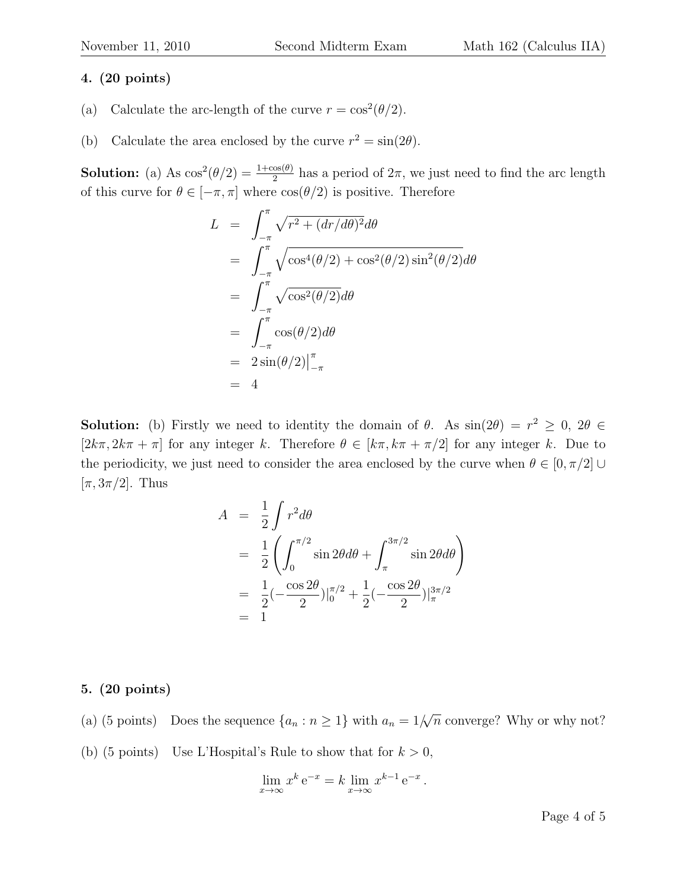#### 4. (20 points)

- (a) Calculate the arc-length of the curve  $r = \cos^2(\theta/2)$ .
- (b) Calculate the area enclosed by the curve  $r^2 = \sin(2\theta)$ .

**Solution:** (a) As  $\cos^2(\theta/2) = \frac{1+\cos(\theta)}{2}$  has a period of  $2\pi$ , we just need to find the arc length of this curve for  $\theta \in [-\pi, \pi]$  where  $\cos(\theta/2)$  is positive. Therefore

$$
L = \int_{-\pi}^{\pi} \sqrt{r^2 + (dr/d\theta)^2} d\theta
$$
  
= 
$$
\int_{-\pi}^{\pi} \sqrt{\cos^4(\theta/2) + \cos^2(\theta/2) \sin^2(\theta/2)} d\theta
$$
  
= 
$$
\int_{-\pi}^{\pi} \sqrt{\cos^2(\theta/2)} d\theta
$$
  
= 
$$
\int_{-\pi}^{\pi} \cos(\theta/2) d\theta
$$
  
= 
$$
2 \sin(\theta/2) \Big|_{-\pi}^{\pi}
$$
  
= 4

**Solution:** (b) Firstly we need to identity the domain of  $\theta$ . As  $\sin(2\theta) = r^2 \geq 0$ ,  $2\theta \in$  $[2k\pi, 2k\pi + \pi]$  for any integer k. Therefore  $\theta \in [k\pi, k\pi + \pi/2]$  for any integer k. Due to the periodicity, we just need to consider the area enclosed by the curve when  $\theta \in [0, \pi/2]$  $[\pi, 3\pi/2]$ . Thus

$$
A = \frac{1}{2} \int r^2 d\theta
$$
  
=  $\frac{1}{2} \left( \int_0^{\pi/2} \sin 2\theta d\theta + \int_{\pi}^{3\pi/2} \sin 2\theta d\theta \right)$   
=  $\frac{1}{2} (-\frac{\cos 2\theta}{2})|_{0}^{\pi/2} + \frac{1}{2} (-\frac{\cos 2\theta}{2})|_{\pi}^{3\pi/2}$   
= 1

#### 5. (20 points)

- (a) (5 points) Does the sequence  $\{a_n : n \geq 1\}$  with  $a_n = 1/2$  $√($  $\overline{n}$  converge? Why or why not?
- (b) (5 points) Use L'Hospital's Rule to show that for  $k > 0$ ,

$$
\lim_{x \to \infty} x^k e^{-x} = k \lim_{x \to \infty} x^{k-1} e^{-x}.
$$